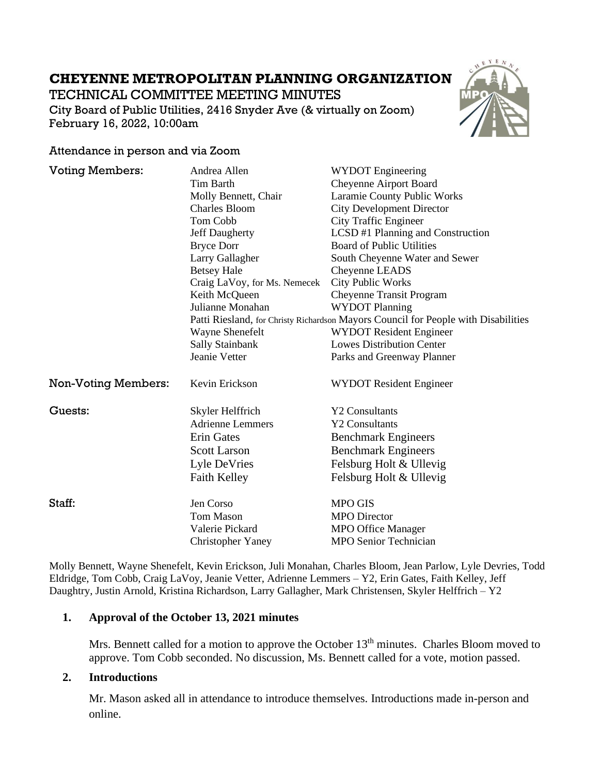# **CHEYENNE METROPOLITAN PLANNING ORGANIZATION**

TECHNICAL COMMITTEE MEETING MINUTES City Board of Public Utilities, 2416 Snyder Ave (& virtually on Zoom) February 16, 2022, 10:00am



## Attendance in person and via Zoom

| <b>Voting Members:</b>     | Andrea Allen                                                                       | <b>WYDOT</b> Engineering          |
|----------------------------|------------------------------------------------------------------------------------|-----------------------------------|
|                            | <b>Tim Barth</b>                                                                   | <b>Cheyenne Airport Board</b>     |
|                            | Molly Bennett, Chair                                                               | Laramie County Public Works       |
|                            | <b>Charles Bloom</b>                                                               | <b>City Development Director</b>  |
|                            | Tom Cobb                                                                           | <b>City Traffic Engineer</b>      |
|                            | Jeff Daugherty                                                                     | LCSD #1 Planning and Construction |
|                            | <b>Bryce Dorr</b>                                                                  | <b>Board of Public Utilities</b>  |
|                            | Larry Gallagher                                                                    | South Cheyenne Water and Sewer    |
|                            | <b>Betsey Hale</b>                                                                 | Cheyenne LEADS                    |
|                            | Craig LaVoy, for Ms. Nemecek                                                       | <b>City Public Works</b>          |
|                            | Keith McQueen                                                                      | <b>Cheyenne Transit Program</b>   |
|                            | Julianne Monahan                                                                   | <b>WYDOT Planning</b>             |
|                            | Patti Riesland, for Christy Richardson Mayors Council for People with Disabilities |                                   |
|                            | Wayne Shenefelt                                                                    | <b>WYDOT Resident Engineer</b>    |
|                            | Sally Stainbank                                                                    | <b>Lowes Distribution Center</b>  |
|                            | Jeanie Vetter                                                                      | Parks and Greenway Planner        |
| <b>Non-Voting Members:</b> | Kevin Erickson                                                                     | <b>WYDOT Resident Engineer</b>    |
| Guests:                    | Skyler Helffrich                                                                   | <b>Y2 Consultants</b>             |
|                            | <b>Adrienne Lemmers</b>                                                            | <b>Y2 Consultants</b>             |
|                            | <b>Erin Gates</b>                                                                  | <b>Benchmark Engineers</b>        |
|                            | <b>Scott Larson</b>                                                                | <b>Benchmark Engineers</b>        |
|                            | Lyle DeVries                                                                       | Felsburg Holt & Ullevig           |
|                            | <b>Faith Kelley</b>                                                                | Felsburg Holt & Ullevig           |
|                            |                                                                                    |                                   |
| Staff:                     | Jen Corso                                                                          | <b>MPO GIS</b>                    |
|                            | <b>Tom Mason</b>                                                                   | <b>MPO</b> Director               |
|                            | Valerie Pickard                                                                    | <b>MPO Office Manager</b>         |
|                            | <b>Christopher Yaney</b>                                                           | <b>MPO Senior Technician</b>      |

Molly Bennett, Wayne Shenefelt, Kevin Erickson, Juli Monahan, Charles Bloom, Jean Parlow, Lyle Devries, Todd Eldridge, Tom Cobb, Craig LaVoy, Jeanie Vetter, Adrienne Lemmers – Y2, Erin Gates, Faith Kelley, Jeff Daughtry, Justin Arnold, Kristina Richardson, Larry Gallagher, Mark Christensen, Skyler Helffrich – Y2

# **1. Approval of the October 13, 2021 minutes**

Mrs. Bennett called for a motion to approve the October 13<sup>th</sup> minutes. Charles Bloom moved to approve. Tom Cobb seconded. No discussion, Ms. Bennett called for a vote, motion passed.

# **2. Introductions**

Mr. Mason asked all in attendance to introduce themselves. Introductions made in-person and online.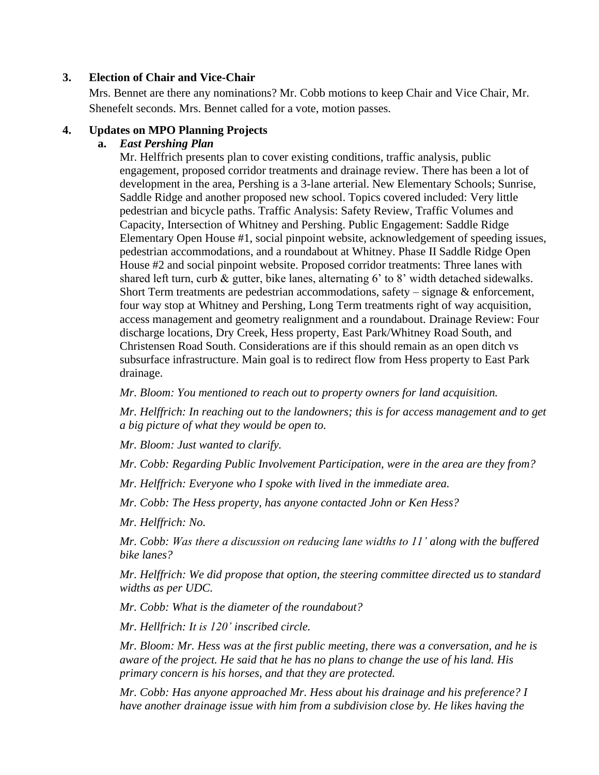# **3. Election of Chair and Vice-Chair**

Mrs. Bennet are there any nominations? Mr. Cobb motions to keep Chair and Vice Chair, Mr. Shenefelt seconds. Mrs. Bennet called for a vote, motion passes.

# **4. Updates on MPO Planning Projects**

# **a.** *East Pershing Plan*

Mr. Helffrich presents plan to cover existing conditions, traffic analysis, public engagement, proposed corridor treatments and drainage review. There has been a lot of development in the area, Pershing is a 3-lane arterial. New Elementary Schools; Sunrise, Saddle Ridge and another proposed new school. Topics covered included: Very little pedestrian and bicycle paths. Traffic Analysis: Safety Review, Traffic Volumes and Capacity, Intersection of Whitney and Pershing. Public Engagement: Saddle Ridge Elementary Open House #1, social pinpoint website, acknowledgement of speeding issues, pedestrian accommodations, and a roundabout at Whitney. Phase II Saddle Ridge Open House #2 and social pinpoint website. Proposed corridor treatments: Three lanes with shared left turn, curb & gutter, bike lanes, alternating 6' to 8' width detached sidewalks. Short Term treatments are pedestrian accommodations, safety  $-$  signage  $\&$  enforcement, four way stop at Whitney and Pershing, Long Term treatments right of way acquisition, access management and geometry realignment and a roundabout. Drainage Review: Four discharge locations, Dry Creek, Hess property, East Park/Whitney Road South, and Christensen Road South. Considerations are if this should remain as an open ditch vs subsurface infrastructure. Main goal is to redirect flow from Hess property to East Park drainage.

*Mr. Bloom: You mentioned to reach out to property owners for land acquisition.*

*Mr. Helffrich: In reaching out to the landowners; this is for access management and to get a big picture of what they would be open to.*

*Mr. Bloom: Just wanted to clarify.*

*Mr. Cobb: Regarding Public Involvement Participation, were in the area are they from?*

*Mr. Helffrich: Everyone who I spoke with lived in the immediate area.*

*Mr. Cobb: The Hess property, has anyone contacted John or Ken Hess?* 

*Mr. Helffrich: No.* 

*Mr. Cobb: Was there a discussion on reducing lane widths to 11' along with the buffered bike lanes?*

*Mr. Helffrich: We did propose that option, the steering committee directed us to standard widths as per UDC.*

*Mr. Cobb: What is the diameter of the roundabout?*

*Mr. Hellfrich: It is 120' inscribed circle.*

*Mr. Bloom: Mr. Hess was at the first public meeting, there was a conversation, and he is aware of the project. He said that he has no plans to change the use of his land. His primary concern is his horses, and that they are protected.*

*Mr. Cobb: Has anyone approached Mr. Hess about his drainage and his preference? I have another drainage issue with him from a subdivision close by. He likes having the*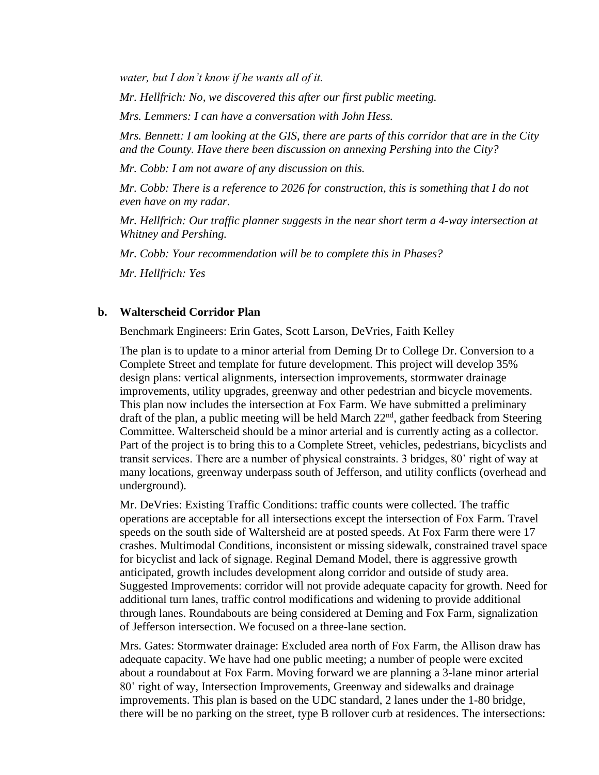*water, but I don't know if he wants all of it.*

*Mr. Hellfrich: No, we discovered this after our first public meeting.*

*Mrs. Lemmers: I can have a conversation with John Hess.*

*Mrs. Bennett: I am looking at the GIS, there are parts of this corridor that are in the City and the County. Have there been discussion on annexing Pershing into the City?*

*Mr. Cobb: I am not aware of any discussion on this.*

*Mr. Cobb: There is a reference to 2026 for construction, this is something that I do not even have on my radar.*

*Mr. Hellfrich: Our traffic planner suggests in the near short term a 4-way intersection at Whitney and Pershing.*

*Mr. Cobb: Your recommendation will be to complete this in Phases?*

*Mr. Hellfrich: Yes*

#### **b. Walterscheid Corridor Plan**

Benchmark Engineers: Erin Gates, Scott Larson, DeVries, Faith Kelley

The plan is to update to a minor arterial from Deming Dr to College Dr. Conversion to a Complete Street and template for future development. This project will develop 35% design plans: vertical alignments, intersection improvements, stormwater drainage improvements, utility upgrades, greenway and other pedestrian and bicycle movements. This plan now includes the intersection at Fox Farm. We have submitted a preliminary draft of the plan, a public meeting will be held March 22<sup>nd</sup>, gather feedback from Steering Committee. Walterscheid should be a minor arterial and is currently acting as a collector. Part of the project is to bring this to a Complete Street, vehicles, pedestrians, bicyclists and transit services. There are a number of physical constraints. 3 bridges, 80' right of way at many locations, greenway underpass south of Jefferson, and utility conflicts (overhead and underground).

Mr. DeVries: Existing Traffic Conditions: traffic counts were collected. The traffic operations are acceptable for all intersections except the intersection of Fox Farm. Travel speeds on the south side of Waltersheid are at posted speeds. At Fox Farm there were 17 crashes. Multimodal Conditions, inconsistent or missing sidewalk, constrained travel space for bicyclist and lack of signage. Reginal Demand Model, there is aggressive growth anticipated, growth includes development along corridor and outside of study area. Suggested Improvements: corridor will not provide adequate capacity for growth. Need for additional turn lanes, traffic control modifications and widening to provide additional through lanes. Roundabouts are being considered at Deming and Fox Farm, signalization of Jefferson intersection. We focused on a three-lane section.

Mrs. Gates: Stormwater drainage: Excluded area north of Fox Farm, the Allison draw has adequate capacity. We have had one public meeting; a number of people were excited about a roundabout at Fox Farm. Moving forward we are planning a 3-lane minor arterial 80' right of way, Intersection Improvements, Greenway and sidewalks and drainage improvements. This plan is based on the UDC standard, 2 lanes under the 1-80 bridge, there will be no parking on the street, type B rollover curb at residences. The intersections: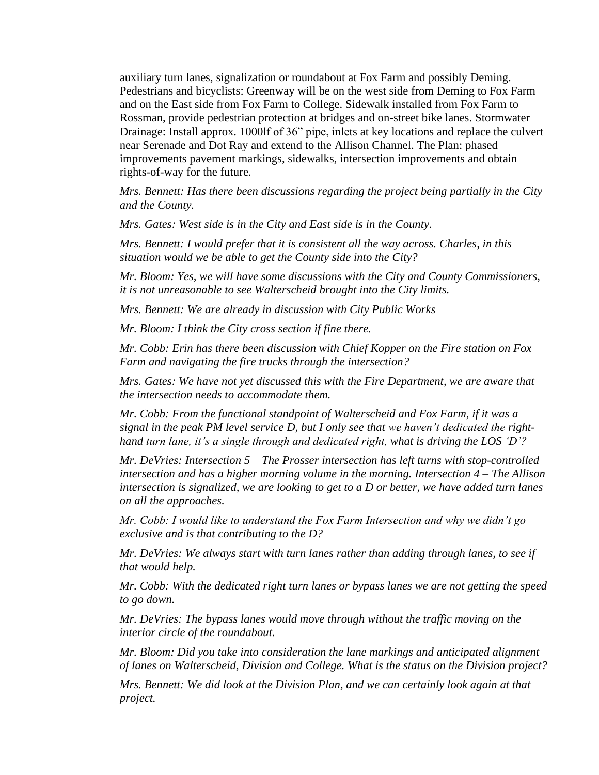auxiliary turn lanes, signalization or roundabout at Fox Farm and possibly Deming. Pedestrians and bicyclists: Greenway will be on the west side from Deming to Fox Farm and on the East side from Fox Farm to College. Sidewalk installed from Fox Farm to Rossman, provide pedestrian protection at bridges and on-street bike lanes. Stormwater Drainage: Install approx. 1000lf of 36" pipe, inlets at key locations and replace the culvert near Serenade and Dot Ray and extend to the Allison Channel. The Plan: phased improvements pavement markings, sidewalks, intersection improvements and obtain rights-of-way for the future.

*Mrs. Bennett: Has there been discussions regarding the project being partially in the City and the County.*

*Mrs. Gates: West side is in the City and East side is in the County.*

*Mrs. Bennett: I would prefer that it is consistent all the way across. Charles, in this situation would we be able to get the County side into the City?*

*Mr. Bloom: Yes, we will have some discussions with the City and County Commissioners, it is not unreasonable to see Walterscheid brought into the City limits.*

*Mrs. Bennett: We are already in discussion with City Public Works*

*Mr. Bloom: I think the City cross section if fine there.*

*Mr. Cobb: Erin has there been discussion with Chief Kopper on the Fire station on Fox Farm and navigating the fire trucks through the intersection?*

*Mrs. Gates: We have not yet discussed this with the Fire Department, we are aware that the intersection needs to accommodate them.*

*Mr. Cobb: From the functional standpoint of Walterscheid and Fox Farm, if it was a signal in the peak PM level service D, but I only see that we haven't dedicated the righthand turn lane, it's a single through and dedicated right, what is driving the LOS 'D'?*

*Mr. DeVries: Intersection 5 – The Prosser intersection has left turns with stop-controlled intersection and has a higher morning volume in the morning. Intersection 4 – The Allison intersection is signalized, we are looking to get to a D or better, we have added turn lanes on all the approaches.*

*Mr. Cobb: I would like to understand the Fox Farm Intersection and why we didn't go exclusive and is that contributing to the D?*

*Mr. DeVries: We always start with turn lanes rather than adding through lanes, to see if that would help.*

*Mr. Cobb: With the dedicated right turn lanes or bypass lanes we are not getting the speed to go down.*

*Mr. DeVries: The bypass lanes would move through without the traffic moving on the interior circle of the roundabout.*

*Mr. Bloom: Did you take into consideration the lane markings and anticipated alignment of lanes on Walterscheid, Division and College. What is the status on the Division project?*

*Mrs. Bennett: We did look at the Division Plan, and we can certainly look again at that project.*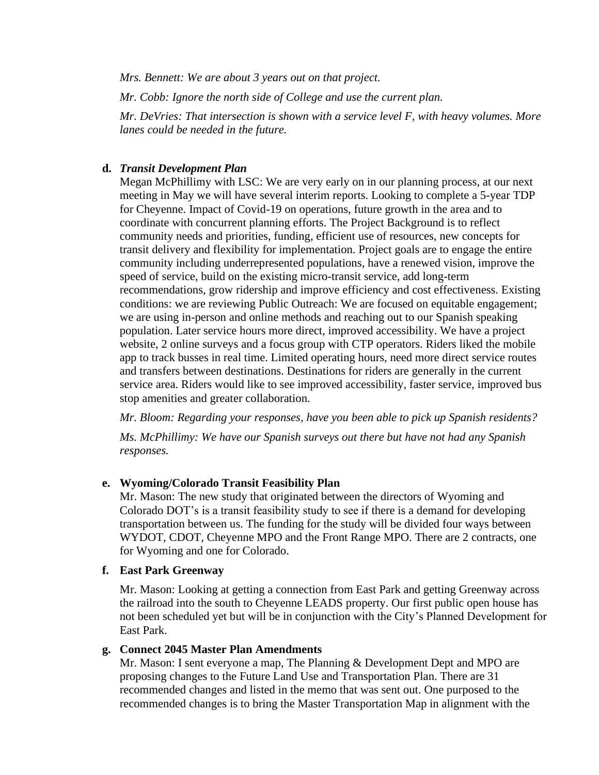*Mrs. Bennett: We are about 3 years out on that project.*

*Mr. Cobb: Ignore the north side of College and use the current plan.*

*Mr. DeVries: That intersection is shown with a service level F, with heavy volumes. More lanes could be needed in the future.*

## **d.** *Transit Development Plan*

Megan McPhillimy with LSC: We are very early on in our planning process, at our next meeting in May we will have several interim reports. Looking to complete a 5-year TDP for Cheyenne. Impact of Covid-19 on operations, future growth in the area and to coordinate with concurrent planning efforts. The Project Background is to reflect community needs and priorities, funding, efficient use of resources, new concepts for transit delivery and flexibility for implementation. Project goals are to engage the entire community including underrepresented populations, have a renewed vision, improve the speed of service, build on the existing micro-transit service, add long-term recommendations, grow ridership and improve efficiency and cost effectiveness. Existing conditions: we are reviewing Public Outreach: We are focused on equitable engagement; we are using in-person and online methods and reaching out to our Spanish speaking population. Later service hours more direct, improved accessibility. We have a project website, 2 online surveys and a focus group with CTP operators. Riders liked the mobile app to track busses in real time. Limited operating hours, need more direct service routes and transfers between destinations. Destinations for riders are generally in the current service area. Riders would like to see improved accessibility, faster service, improved bus stop amenities and greater collaboration.

*Mr. Bloom: Regarding your responses, have you been able to pick up Spanish residents?*

*Ms. McPhillimy: We have our Spanish surveys out there but have not had any Spanish responses.*

#### **e. Wyoming/Colorado Transit Feasibility Plan**

Mr. Mason: The new study that originated between the directors of Wyoming and Colorado DOT's is a transit feasibility study to see if there is a demand for developing transportation between us. The funding for the study will be divided four ways between WYDOT, CDOT, Cheyenne MPO and the Front Range MPO. There are 2 contracts, one for Wyoming and one for Colorado.

## **f. East Park Greenway**

Mr. Mason: Looking at getting a connection from East Park and getting Greenway across the railroad into the south to Cheyenne LEADS property. Our first public open house has not been scheduled yet but will be in conjunction with the City's Planned Development for East Park.

# **g. Connect 2045 Master Plan Amendments**

Mr. Mason: I sent everyone a map, The Planning & Development Dept and MPO are proposing changes to the Future Land Use and Transportation Plan. There are 31 recommended changes and listed in the memo that was sent out. One purposed to the recommended changes is to bring the Master Transportation Map in alignment with the